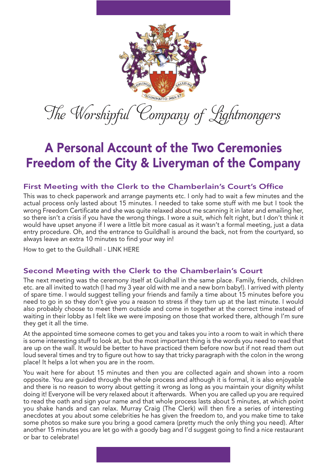

# A Personal Account of the Two Ceremonies Freedom of the City & Liveryman of the Company

## First Meeting with the Clerk to the Chamberlain's Court's Office

This was to check paperwork and arrange payments etc. I only had to wait a few minutes and the actual process only lasted about 15 minutes. I needed to take some stuff with me but I took the wrong Freedom Certificate and she was quite relaxed about me scanning it in later and emailing her, so there isn't a crisis if you have the wrong things. I wore a suit, which felt right, but I don't think it would have upset anyone if I were a little bit more casual as it wasn't a formal meeting, just a data entry procedure. Oh, and the entrance to Guildhall is around the back, not from the courtyard, so always leave an extra 10 minutes to find your way in!

How to get to the Guildhall - LINK HERE

# Second Meeting with the Clerk to the Chamberlain's Court

The next meeting was the ceremony itself at Guildhall in the same place. Family, friends, children etc. are all invited to watch (I had my 3 year old with me and a new born baby!). I arrived with plenty of spare time. I would suggest telling your friends and family a time about 15 minutes before you need to go in so they don't give you a reason to stress if they turn up at the last minute. I would also probably choose to meet them outside and come in together at the correct time instead of waiting in their lobby as I felt like we were imposing on those that worked there, although I'm sure they get it all the time.

At the appointed time someone comes to get you and takes you into a room to wait in which there is some interesting stuff to look at, but the most important thing is the words you need to read that are up on the wall. It would be better to have practiced them before now but if not read them out loud several times and try to figure out how to say that tricky paragraph with the colon in the wrong place! It helps a lot when you are in the room.

You wait here for about 15 minutes and then you are collected again and shown into a room opposite. You are guided through the whole process and although it is formal, it is also enjoyable and there is no reason to worry about getting it wrong as long as you maintain your dignity whilst doing it! Everyone will be very relaxed about it afterwards. When you are called up you are required to read the oath and sign your name and that whole process lasts about 5 minutes, at which point you shake hands and can relax. Murray Craig (The Clerk) will then fire a series of interesting anecdotes at you about some celebrities he has given the freedom to, and you make time to take some photos so make sure you bring a good camera (pretty much the only thing you need). After another 15 minutes you are let go with a goody bag and I'd suggest going to find a nice restaurant or bar to celebrate!